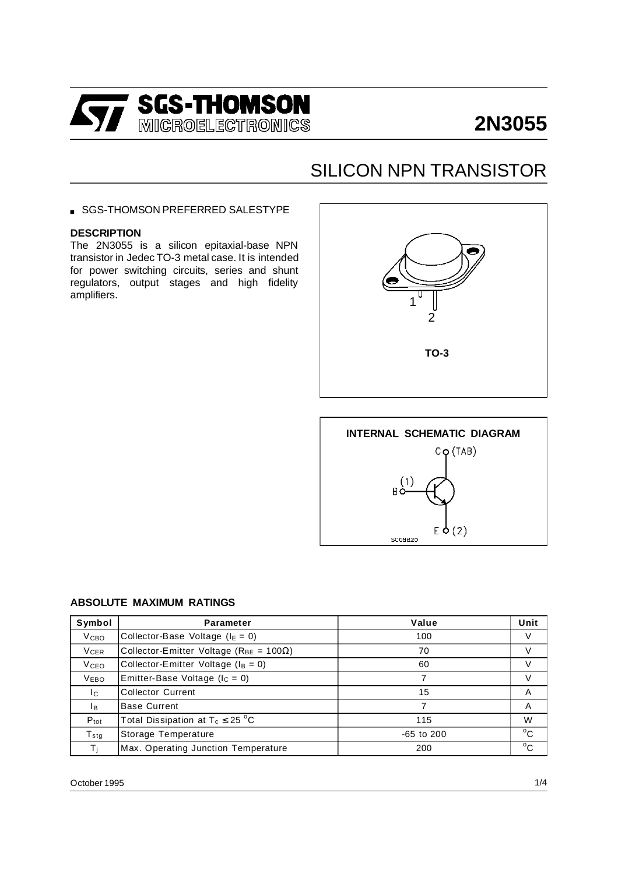

# **2N3055**

# SILICON NPN TRANSISTOR

SGS-THOMSON PREFERRED SALESTYPE

#### **DESCRIPTION**

The 2N3055 is a silicon epitaxial-base NPN transistor in Jedec TO-3 metal case. It is intended for power switching circuits, series and shunt regulators, output stages and high fidelity amplifiers.





#### **ABSOLUTE MAXIMUM RATINGS**

| Symbol                  | <b>Parameter</b>                                      | Value          | Unit         |
|-------------------------|-------------------------------------------------------|----------------|--------------|
| V <sub>CBO</sub>        | Collector-Base Voltage ( $I_E = 0$ )                  | 100            | V            |
| <b>V<sub>CER</sub></b>  | Collector-Emitter Voltage ( $R_{BE}$ = 100 $\Omega$ ) | 70             | V            |
| <b>V</b> <sub>CEO</sub> | Collector-Emitter Voltage ( $I_B = 0$ )               | 60             | $\vee$       |
| <b>VEBO</b>             | Emitter-Base Voltage ( $I_c = 0$ )                    |                | V            |
| Ic.                     | <b>Collector Current</b>                              | 15             | A            |
| Iв                      | <b>Base Current</b>                                   |                | A            |
| $P_{\text{tot}}$        | Total Dissipation at $T_c \leq 25$ °C                 | 115            | W            |
| $T_{\tt stq}$           | Storage Temperature                                   | $-65$ to $200$ | $^{\circ}$ C |
| $T_{\rm i}$             | Max. Operating Junction Temperature                   | 200            | $^{\circ}$ C |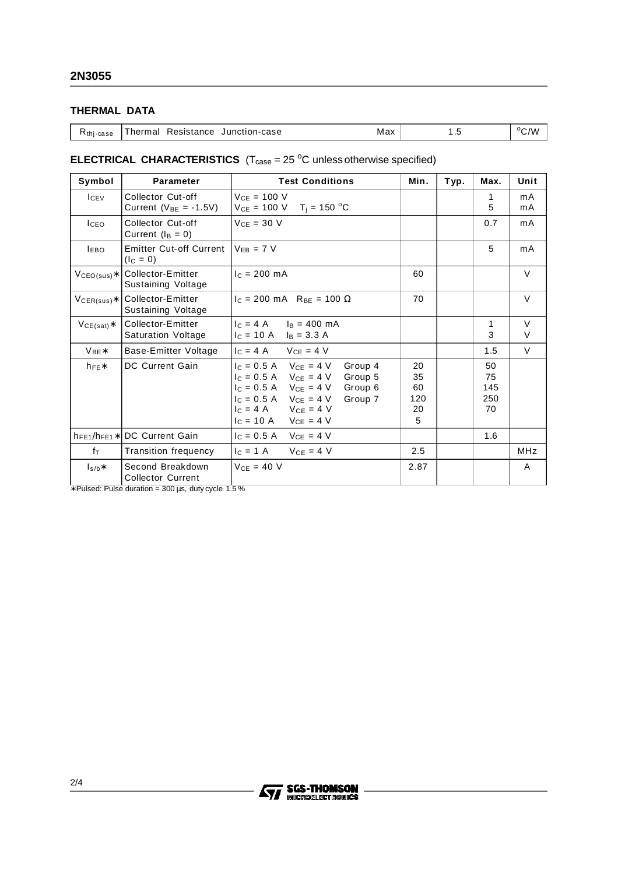## **THERMAL DATA**

| Junction-case<br>Resistance<br>Гhermal.<br>$R_{\text{thi-case}}$ | Max | $\cdot$ | $^{\circ}$ C/W |
|------------------------------------------------------------------|-----|---------|----------------|
|------------------------------------------------------------------|-----|---------|----------------|

### **ELECTRICAL CHARACTERISTICS**  $(T_{\text{case}} = 25 \degree C \text{ unless otherwise specified})$

| Symbol             | <b>Parameter</b>                                  | <b>Test Conditions</b>                                                                                                                                                                                                          | Min.                             | Typ. | Max.                         | Unit        |
|--------------------|---------------------------------------------------|---------------------------------------------------------------------------------------------------------------------------------------------------------------------------------------------------------------------------------|----------------------------------|------|------------------------------|-------------|
| I <sub>CEV</sub>   | Collector Cut-off<br>Current ( $V_{BE} = -1.5V$ ) | $V_{CF} = 100 V$<br>$V_{CE} = 100 \text{ V}$ T <sub>i</sub> = 150 °C                                                                                                                                                            |                                  |      | 1<br>5                       | mA<br>mA    |
| <b>ICEO</b>        | Collector Cut-off<br>Current $(I_B = 0)$          | $VCF = 30 V$                                                                                                                                                                                                                    |                                  |      | 0.7                          | mA          |
| <b>LEBO</b>        | <b>Emitter Cut-off Current</b><br>$(I_C = 0)$     | $V_{FR}$ = 7 V                                                                                                                                                                                                                  |                                  |      | 5                            | mA          |
| $VCEO(sus)*$       | Collector-Emitter<br>Sustaining Voltage           | $c = 200$ mA                                                                                                                                                                                                                    | 60                               |      |                              | $\vee$      |
| $V_{CER(sus)*}$    | Collector-Emitter<br>Sustaining Voltage           | $c = 200 \text{ mA}$ R <sub>BF</sub> = 100 $\Omega$                                                                                                                                                                             | 70                               |      |                              | $\vee$      |
| $VCE(sat)*$        | Collector-Emitter<br><b>Saturation Voltage</b>    | $c = 4 A$ $l_B = 400 mA$<br>$I_C = 10 \text{ A}$ $I_B = 3.3 \text{ A}$                                                                                                                                                          |                                  |      | 1<br>3                       | $\vee$<br>V |
| $V_{BF}$ *         | Base-Emitter Voltage                              | $I_C = 4 A$ $V_{CF} = 4 V$                                                                                                                                                                                                      |                                  |      | 1.5                          | $\vee$      |
| $h_{FF}$ *         | DC Current Gain                                   | $I_C = 0.5$ A $V_{CE} = 4$ V<br>Group 4<br>$I_C = 0.5$ A $V_{CE} = 4$ V Group 5<br>$I_C = 0.5 A$ $V_{CE} = 4 V$ Group 6<br>$I_C = 0.5 A$ $V_{CE} = 4 V$<br>Group 7<br>$I_C = 4 A$ $V_{CE} = 4 V$<br>$I_C = 10 A$ $V_{CE} = 4 V$ | 20<br>35<br>60<br>120<br>20<br>5 |      | 50<br>75<br>145<br>250<br>70 |             |
| $h_{FE1}/h_{FE1}*$ | <b>DC Current Gain</b>                            | $1c = 0.5$ A $V_{CF} = 4$ V                                                                                                                                                                                                     |                                  |      | 1.6                          |             |
| fτ                 | <b>Transition frequency</b>                       | $V_{CE} = 4 V$<br>$c = 1$ A                                                                                                                                                                                                     | 2.5                              |      |                              | <b>MHz</b>  |
| $I_{s/b}$ *        | Second Breakdown<br><b>Collector Current</b>      | $VCF = 40 V$                                                                                                                                                                                                                    | 2.87                             |      |                              | A           |

∗ Pulsed: Pulse duration = 300 µs, duty cycle 1.5 %

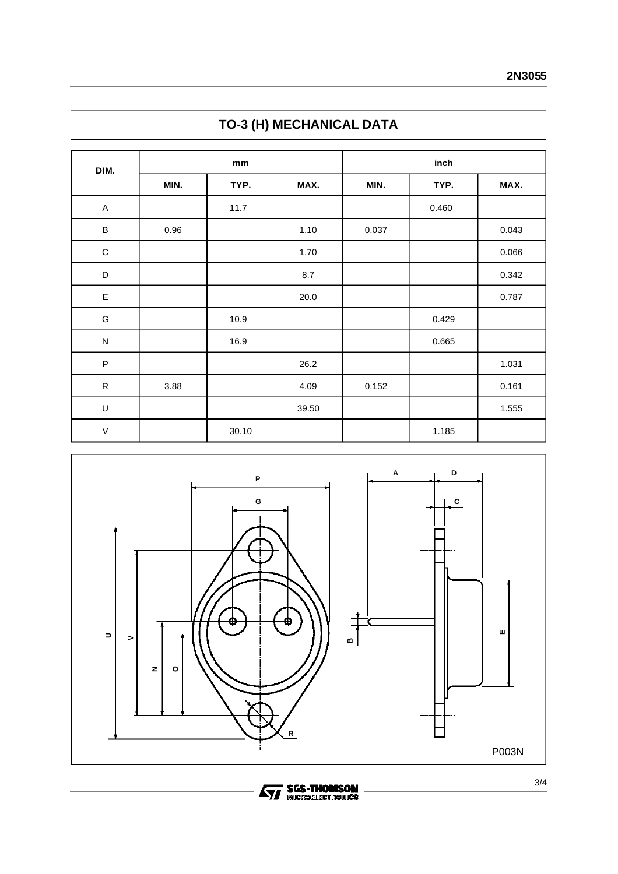| DIM.          | mm   |       | inch  |       |       |       |
|---------------|------|-------|-------|-------|-------|-------|
|               | MIN. | TYP.  | MAX.  | MIN.  | TYP.  | MAX.  |
| A             |      | 11.7  |       |       | 0.460 |       |
| $\sf B$       | 0.96 |       | 1.10  | 0.037 |       | 0.043 |
| $\mathbf C$   |      |       | 1.70  |       |       | 0.066 |
| D             |      |       | 8.7   |       |       | 0.342 |
| $\mathsf E$   |      |       | 20.0  |       |       | 0.787 |
| ${\mathsf G}$ |      | 10.9  |       |       | 0.429 |       |
| ${\sf N}$     |      | 16.9  |       |       | 0.665 |       |
| $\sf P$       |      |       | 26.2  |       |       | 1.031 |
| ${\sf R}$     | 3.88 |       | 4.09  | 0.152 |       | 0.161 |
| U             |      |       | 39.50 |       |       | 1.555 |
| $\vee$        |      | 30.10 |       |       | 1.185 |       |





**Ayy SGS-THOMSON**<br>MICROELECTROMICS